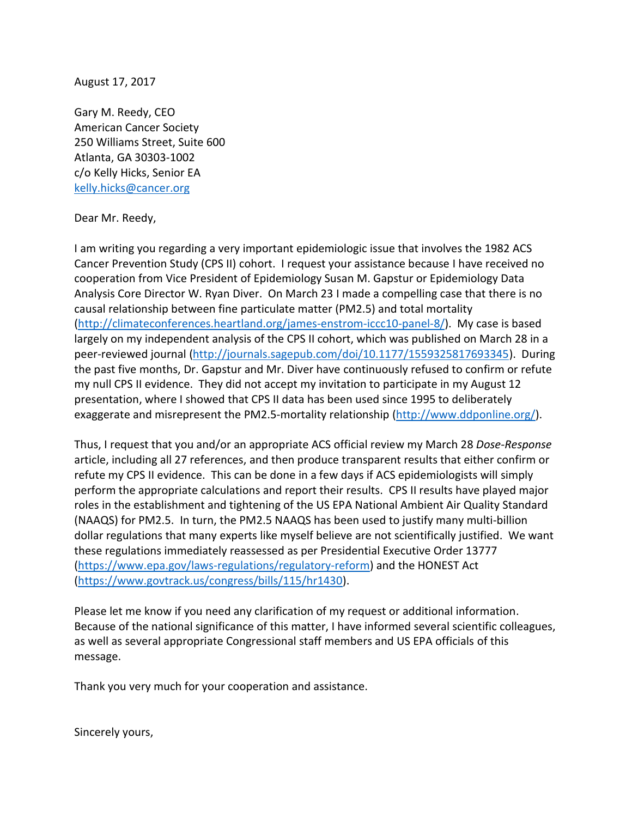August 17, 2017

Gary M. Reedy, CEO American Cancer Society 250 Williams Street, Suite 600 Atlanta, GA 30303-1002 c/o Kelly Hicks, Senior EA [kelly.hicks@cancer.org](mailto:kelly.hicks@cancer.org)

## Dear Mr. Reedy,

I am writing you regarding a very important epidemiologic issue that involves the 1982 ACS Cancer Prevention Study (CPS II) cohort. I request your assistance because I have received no cooperation from Vice President of Epidemiology Susan M. Gapstur or Epidemiology Data Analysis Core Director W. Ryan Diver. On March 23 I made a compelling case that there is no causal relationship between fine particulate matter (PM2.5) and total mortality [\(http://climateconferences.heartland.org/james-enstrom-iccc10-panel-8/\)](http://climateconferences.heartland.org/james-enstrom-iccc10-panel-8/). My case is based largely on my independent analysis of the CPS II cohort, which was published on March 28 in a peer-reviewed journal [\(http://journals.sagepub.com/doi/10.1177/1559325817693345\)](http://journals.sagepub.com/doi/10.1177/1559325817693345). During the past five months, Dr. Gapstur and Mr. Diver have continuously refused to confirm or refute my null CPS II evidence. They did not accept my invitation to participate in my August 12 presentation, where I showed that CPS II data has been used since 1995 to deliberately exaggerate and misrepresent the PM2.5-mortality relationship [\(http://www.ddponline.org/\)](http://www.ddponline.org/).

Thus, I request that you and/or an appropriate ACS official review my March 28 *Dose-Response* article, including all 27 references, and then produce transparent results that either confirm or refute my CPS II evidence. This can be done in a few days if ACS epidemiologists will simply perform the appropriate calculations and report their results. CPS II results have played major roles in the establishment and tightening of the US EPA National Ambient Air Quality Standard (NAAQS) for PM2.5. In turn, the PM2.5 NAAQS has been used to justify many multi-billion dollar regulations that many experts like myself believe are not scientifically justified. We want these regulations immediately reassessed as per Presidential Executive Order 13777 [\(https://www.epa.gov/laws-regulations/regulatory-reform\)](https://www.epa.gov/laws-regulations/regulatory-reform) and the HONEST Act [\(https://www.govtrack.us/congress/bills/115/hr1430\)](https://www.govtrack.us/congress/bills/115/hr1430).

Please let me know if you need any clarification of my request or additional information. Because of the national significance of this matter, I have informed several scientific colleagues, as well as several appropriate Congressional staff members and US EPA officials of this message.

Thank you very much for your cooperation and assistance.

Sincerely yours,